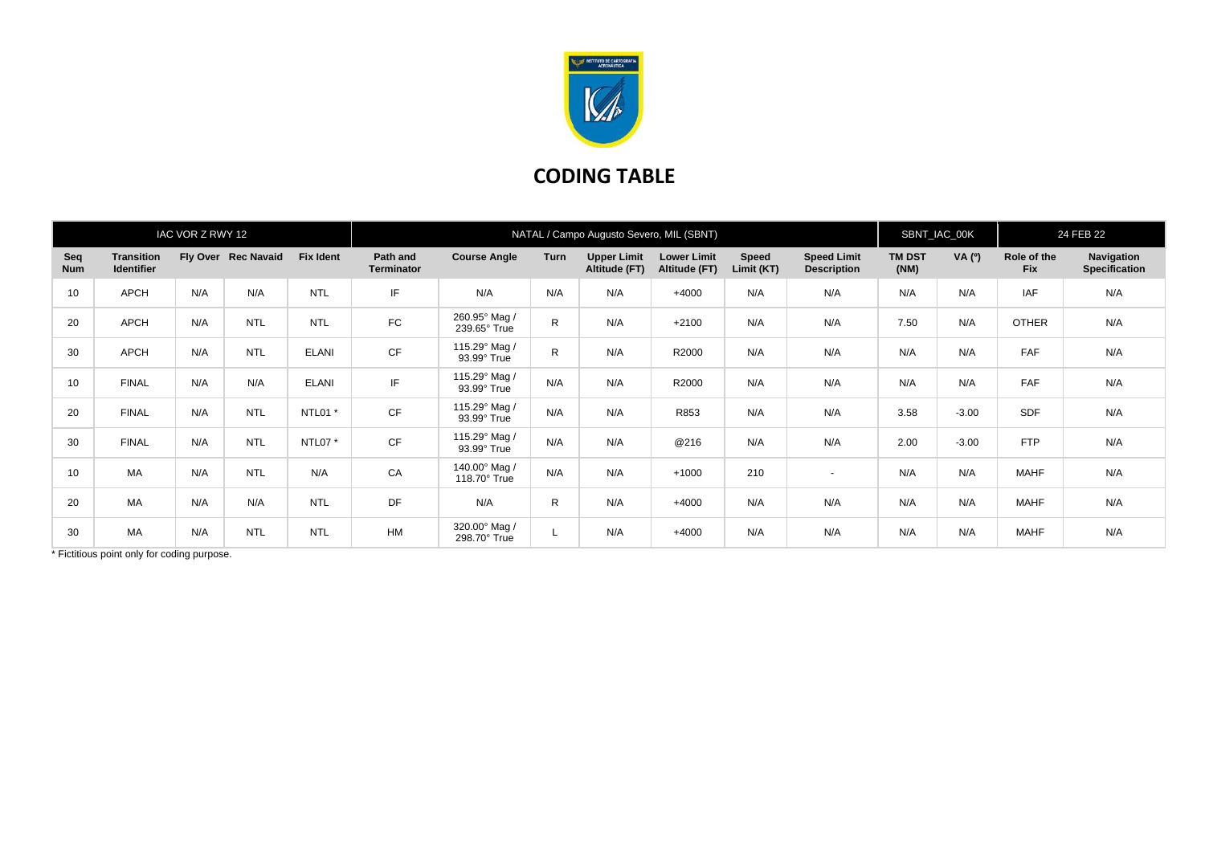

## **CODING TABLE**

| IAC VOR Z RWY 12  |                                        |     |                     |                  | NATAL / Campo Augusto Severo, MIL (SBNT) |                               |              |                                     |                                     |                     |                                          |                       | SBNT_IAC_00K |                           | 24 FEB 22                          |  |
|-------------------|----------------------------------------|-----|---------------------|------------------|------------------------------------------|-------------------------------|--------------|-------------------------------------|-------------------------------------|---------------------|------------------------------------------|-----------------------|--------------|---------------------------|------------------------------------|--|
| Seq<br><b>Num</b> | <b>Transition</b><br><b>Identifier</b> |     | Fly Over Rec Navaid | <b>Fix Ident</b> | Path and<br><b>Terminator</b>            | <b>Course Angle</b>           | Turn         | <b>Upper Limit</b><br>Altitude (FT) | <b>Lower Limit</b><br>Altitude (FT) | Speed<br>Limit (KT) | <b>Speed Limit</b><br><b>Description</b> | <b>TM DST</b><br>(NM) | VA (0)       | Role of the<br><b>Fix</b> | Navigation<br><b>Specification</b> |  |
| 10                | <b>APCH</b>                            | N/A | N/A                 | <b>NTL</b>       | IF                                       | N/A                           | N/A          | N/A                                 | $+4000$                             | N/A                 | N/A                                      | N/A                   | N/A          | <b>IAF</b>                | N/A                                |  |
| 20                | <b>APCH</b>                            | N/A | <b>NTL</b>          | <b>NTL</b>       | <b>FC</b>                                | 260.95° Mag /<br>239.65° True | $\mathsf{R}$ | N/A                                 | $+2100$                             | N/A                 | N/A                                      | 7.50                  | N/A          | <b>OTHER</b>              | N/A                                |  |
| 30                | <b>APCH</b>                            | N/A | <b>NTL</b>          | <b>ELANI</b>     | <b>CF</b>                                | 115.29° Mag /<br>93.99° True  | $\mathsf{R}$ | N/A                                 | R2000                               | N/A                 | N/A                                      | N/A                   | N/A          | FAF                       | N/A                                |  |
| 10                | <b>FINAL</b>                           | N/A | N/A                 | <b>ELANI</b>     | IF                                       | 115.29° Mag /<br>93.99° True  | N/A          | N/A                                 | R2000                               | N/A                 | N/A                                      | N/A                   | N/A          | <b>FAF</b>                | N/A                                |  |
| 20                | <b>FINAL</b>                           | N/A | <b>NTL</b>          | NTL01 *          | <b>CF</b>                                | 115.29° Mag /<br>93.99° True  | N/A          | N/A                                 | R853                                | N/A                 | N/A                                      | 3.58                  | $-3.00$      | <b>SDF</b>                | N/A                                |  |
| 30                | <b>FINAL</b>                           | N/A | <b>NTL</b>          | NTL07 *          | <b>CF</b>                                | 115.29° Mag /<br>93.99° True  | N/A          | N/A                                 | @216                                | N/A                 | N/A                                      | 2.00                  | $-3.00$      | <b>FTP</b>                | N/A                                |  |
| 10                | MA                                     | N/A | <b>NTL</b>          | N/A              | CA                                       | 140.00° Mag /<br>118.70° True | N/A          | N/A                                 | $+1000$                             | 210                 | $\sim$                                   | N/A                   | N/A          | <b>MAHF</b>               | N/A                                |  |
| 20                | MA                                     | N/A | N/A                 | <b>NTL</b>       | DF                                       | N/A                           | $\mathsf{R}$ | N/A                                 | $+4000$                             | N/A                 | N/A                                      | N/A                   | N/A          | <b>MAHF</b>               | N/A                                |  |
| 30                | MA                                     | N/A | <b>NTL</b>          | <b>NTL</b>       | <b>HM</b>                                | 320.00° Mag /<br>298.70° True |              | N/A                                 | $+4000$                             | N/A                 | N/A                                      | N/A                   | N/A          | <b>MAHF</b>               | N/A                                |  |

\* Fictitious point only for coding purpose.